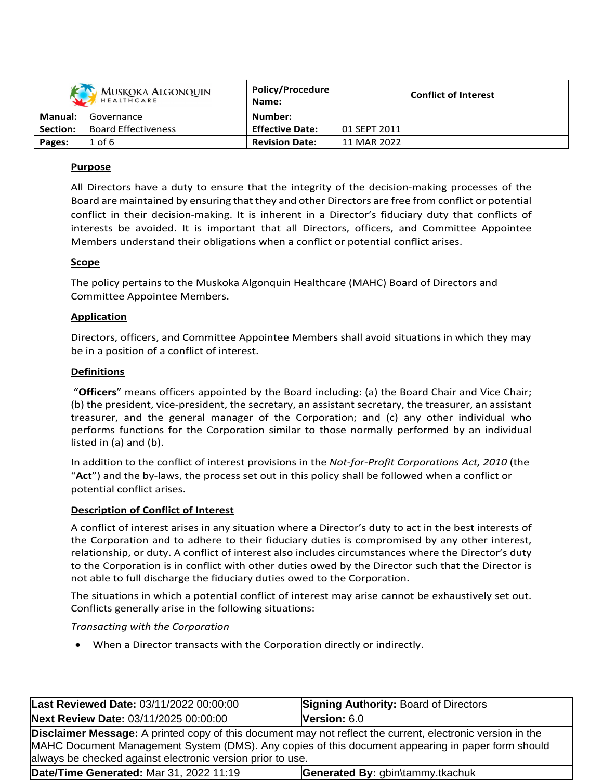|          | <b>MUSKOKA ALGONQUIN</b><br>HEALTHCARE | Policy/Procedure<br>Name: |              | <b>Conflict of Interest</b> |
|----------|----------------------------------------|---------------------------|--------------|-----------------------------|
| Manual:  | Governance                             | Number:                   |              |                             |
| Section: | <b>Board Effectiveness</b>             | <b>Effective Date:</b>    | 01 SEPT 2011 |                             |
| Pages:   | $1$ of 6                               | <b>Revision Date:</b>     | 11 MAR 2022  |                             |

# **Purpose**

All Directors have a duty to ensure that the integrity of the decision-making processes of the Board are maintained by ensuring that they and other Directors are free from conflict or potential conflict in their decision-making. It is inherent in a Director's fiduciary duty that conflicts of interests be avoided. It is important that all Directors, officers, and Committee Appointee Members understand their obligations when a conflict or potential conflict arises.

# **Scope**

The policy pertains to the Muskoka Algonquin Healthcare (MAHC) Board of Directors and Committee Appointee Members.

## **Application**

Directors, officers, and Committee Appointee Members shall avoid situations in which they may be in a position of a conflict of interest.

## **Definitions**

"**Officers**" means officers appointed by the Board including: (a) the Board Chair and Vice Chair; (b) the president, vice-president, the secretary, an assistant secretary, the treasurer, an assistant treasurer, and the general manager of the Corporation; and (c) any other individual who performs functions for the Corporation similar to those normally performed by an individual listed in (a) and (b).

In addition to the conflict of interest provisions in the *Not-for-Profit Corporations Act, 2010* (the "**Act**") and the by-laws, the process set out in this policy shall be followed when a conflict or potential conflict arises.

## **Description of Conflict of Interest**

A conflict of interest arises in any situation where a Director's duty to act in the best interests of the Corporation and to adhere to their fiduciary duties is compromised by any other interest, relationship, or duty. A conflict of interest also includes circumstances where the Director's duty to the Corporation is in conflict with other duties owed by the Director such that the Director is not able to full discharge the fiduciary duties owed to the Corporation.

The situations in which a potential conflict of interest may arise cannot be exhaustively set out. Conflicts generally arise in the following situations:

## *Transacting with the Corporation*

When a Director transacts with the Corporation directly or indirectly.

| Last Reviewed Date: 03/11/2022 00:00:00                                                                                                                                                                                                                                       | <b>Signing Authority: Board of Directors</b> |
|-------------------------------------------------------------------------------------------------------------------------------------------------------------------------------------------------------------------------------------------------------------------------------|----------------------------------------------|
| Next Review Date: 03/11/2025 00:00:00                                                                                                                                                                                                                                         | Version: 6.0                                 |
| Disclaimer Message: A printed copy of this document may not reflect the current, electronic version in the<br>MAHC Document Management System (DMS). Any copies of this document appearing in paper form should<br>always be checked against electronic version prior to use. |                                              |
| Date/Time Generated: Mar 31, 2022 11:19                                                                                                                                                                                                                                       | Generated By: gbin\tammy.tkachuk             |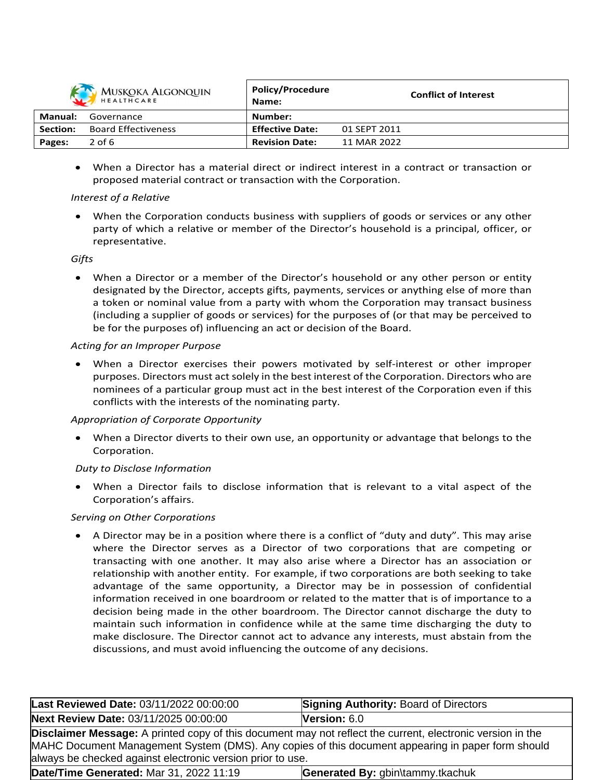

| MUSKOKA ALGONQUIN<br>HEALTHCARE |                            | Policy/Procedure<br>Name: | <b>Conflict of Interest</b> |
|---------------------------------|----------------------------|---------------------------|-----------------------------|
| Manual:                         | Governance                 | Number:                   |                             |
| <b>Section:</b>                 | <b>Board Effectiveness</b> | <b>Effective Date:</b>    | 01 SEPT 2011                |
| Pages:                          | $2$ of 6                   | <b>Revision Date:</b>     | 11 MAR 2022                 |

**Policy/Procedure**

 When a Director has a material direct or indirect interest in a contract or transaction or proposed material contract or transaction with the Corporation.

#### *Interest of a Relative*

 When the Corporation conducts business with suppliers of goods or services or any other party of which a relative or member of the Director's household is a principal, officer, or representative.

#### *Gifts*

 When a Director or a member of the Director's household or any other person or entity designated by the Director, accepts gifts, payments, services or anything else of more than a token or nominal value from a party with whom the Corporation may transact business (including a supplier of goods or services) for the purposes of (or that may be perceived to be for the purposes of) influencing an act or decision of the Board.

## *Acting for an Improper Purpose*

 When a Director exercises their powers motivated by self-interest or other improper purposes. Directors must act solely in the best interest of the Corporation. Directors who are nominees of a particular group must act in the best interest of the Corporation even if this conflicts with the interests of the nominating party.

## *Appropriation of Corporate Opportunity*

 When a Director diverts to their own use, an opportunity or advantage that belongs to the Corporation.

## *Duty to Disclose Information*

 When a Director fails to disclose information that is relevant to a vital aspect of the Corporation's affairs.

## *Serving on Other Corporations*

 A Director may be in a position where there is a conflict of "duty and duty". This may arise where the Director serves as a Director of two corporations that are competing or transacting with one another. It may also arise where a Director has an association or relationship with another entity. For example, if two corporations are both seeking to take advantage of the same opportunity, a Director may be in possession of confidential information received in one boardroom or related to the matter that is of importance to a decision being made in the other boardroom. The Director cannot discharge the duty to maintain such information in confidence while at the same time discharging the duty to make disclosure. The Director cannot act to advance any interests, must abstain from the discussions, and must avoid influencing the outcome of any decisions.

| Last Reviewed Date: 03/11/2022 00:00:00                                                                                                                                                                                                                                              | <b>Signing Authority: Board of Directors</b> |  |
|--------------------------------------------------------------------------------------------------------------------------------------------------------------------------------------------------------------------------------------------------------------------------------------|----------------------------------------------|--|
| Next Review Date: 03/11/2025 00:00:00                                                                                                                                                                                                                                                | Version: $6.0$                               |  |
| <b>Disclaimer Message:</b> A printed copy of this document may not reflect the current, electronic version in the<br>MAHC Document Management System (DMS). Any copies of this document appearing in paper form should<br>always be checked against electronic version prior to use. |                                              |  |
| Date/Time Generated: Mar 31, 2022 11:19<br>Generated By: gbin\tammy.tkachuk                                                                                                                                                                                                          |                                              |  |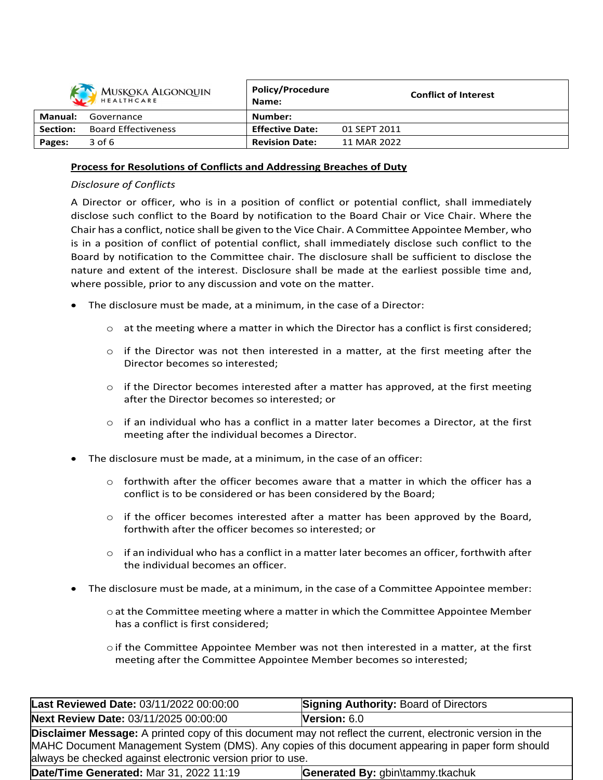| <b>MUSKOKA ALGONQUIN</b><br>HEALTHCARE |                            | <b>Policy/Procedure</b><br>Name: | <b>Conflict of Interest</b> |
|----------------------------------------|----------------------------|----------------------------------|-----------------------------|
| Manual:                                | Governance                 | Number:                          |                             |
| Section:                               | <b>Board Effectiveness</b> | <b>Effective Date:</b>           | 01 SEPT 2011                |
| Pages:                                 | 3 of 6                     | <b>Revision Date:</b>            | 11 MAR 2022                 |

#### **Process for Resolutions of Conflicts and Addressing Breaches of Duty**

#### *Disclosure of Conflicts*

A Director or officer, who is in a position of conflict or potential conflict, shall immediately disclose such conflict to the Board by notification to the Board Chair or Vice Chair. Where the Chair has a conflict, notice shall be given to the Vice Chair. A Committee Appointee Member, who is in a position of conflict of potential conflict, shall immediately disclose such conflict to the Board by notification to the Committee chair. The disclosure shall be sufficient to disclose the nature and extent of the interest. Disclosure shall be made at the earliest possible time and, where possible, prior to any discussion and vote on the matter.

- The disclosure must be made, at a minimum, in the case of a Director:
	- $\circ$  at the meeting where a matter in which the Director has a conflict is first considered;
	- $\circ$  if the Director was not then interested in a matter, at the first meeting after the Director becomes so interested;
	- $\circ$  if the Director becomes interested after a matter has approved, at the first meeting after the Director becomes so interested; or
	- $\circ$  if an individual who has a conflict in a matter later becomes a Director, at the first meeting after the individual becomes a Director.
- The disclosure must be made, at a minimum, in the case of an officer:
	- $\circ$  forthwith after the officer becomes aware that a matter in which the officer has a conflict is to be considered or has been considered by the Board;
	- $\circ$  if the officer becomes interested after a matter has been approved by the Board, forthwith after the officer becomes so interested; or
	- $\circ$  if an individual who has a conflict in a matter later becomes an officer, forthwith after the individual becomes an officer.
- The disclosure must be made, at a minimum, in the case of a Committee Appointee member:
	- o at the Committee meeting where a matter in which the Committee Appointee Member has a conflict is first considered;
	- $\circ$  if the Committee Appointee Member was not then interested in a matter, at the first meeting after the Committee Appointee Member becomes so interested;

| Last Reviewed Date: 03/11/2022 00:00:00                                                                                                                                                                                                                                              | <b>Signing Authority: Board of Directors</b> |
|--------------------------------------------------------------------------------------------------------------------------------------------------------------------------------------------------------------------------------------------------------------------------------------|----------------------------------------------|
| Next Review Date: 03/11/2025 00:00:00                                                                                                                                                                                                                                                | <b>Version:</b> $6.0$                        |
| <b>Disclaimer Message:</b> A printed copy of this document may not reflect the current, electronic version in the<br>MAHC Document Management System (DMS). Any copies of this document appearing in paper form should<br>always be checked against electronic version prior to use. |                                              |
| Date/Time Generated: Mar 31, 2022 11:19                                                                                                                                                                                                                                              | Generated By: gbin\tammy.tkachuk             |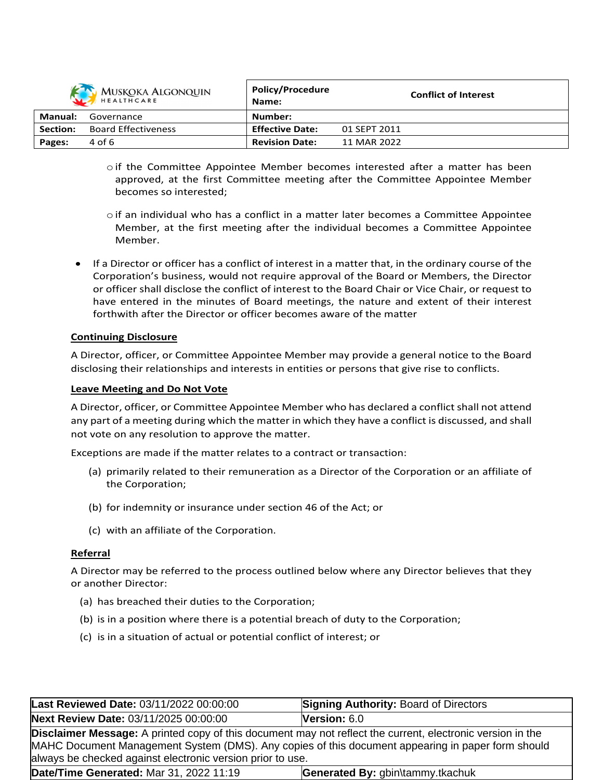

| MUSKOKA ALGONQUIN<br>HEALTHCARE |                            | <b>POIICY/Procedure</b><br>Name: | <b>Conflict of Interest</b> |
|---------------------------------|----------------------------|----------------------------------|-----------------------------|
| Manual:                         | Governance                 | Number:                          |                             |
| Section:                        | <b>Board Effectiveness</b> | <b>Effective Date:</b>           | 01 SEPT 2011                |
| Pages:                          | 4 of 6                     | <b>Revision Date:</b>            | 11 MAR 2022                 |

**Policy/Procedure**

- oif the Committee Appointee Member becomes interested after a matter has been approved, at the first Committee meeting after the Committee Appointee Member becomes so interested;
- $\circ$  if an individual who has a conflict in a matter later becomes a Committee Appointee Member, at the first meeting after the individual becomes a Committee Appointee Member.
- If a Director or officer has a conflict of interest in a matter that, in the ordinary course of the Corporation's business, would not require approval of the Board or Members, the Director or officer shall disclose the conflict of interest to the Board Chair or Vice Chair, or request to have entered in the minutes of Board meetings, the nature and extent of their interest forthwith after the Director or officer becomes aware of the matter

## **Continuing Disclosure**

A Director, officer, or Committee Appointee Member may provide a general notice to the Board disclosing their relationships and interests in entities or persons that give rise to conflicts.

#### **Leave Meeting and Do Not Vote**

A Director, officer, or Committee Appointee Member who has declared a conflict shall not attend any part of a meeting during which the matter in which they have a conflict is discussed, and shall not vote on any resolution to approve the matter.

Exceptions are made if the matter relates to a contract or transaction:

- (a) primarily related to their remuneration as a Director of the Corporation or an affiliate of the Corporation;
- (b) for indemnity or insurance under section 46 of the Act; or
- (c) with an affiliate of the Corporation.

#### **Referral**

A Director may be referred to the process outlined below where any Director believes that they or another Director:

- (a) has breached their duties to the Corporation;
- (b) is in a position where there is a potential breach of duty to the Corporation;
- (c) is in a situation of actual or potential conflict of interest; or

| Last Reviewed Date: 03/11/2022 00:00:00                                                                                                                                                                                                                                              | <b>Signing Authority: Board of Directors</b> |  |
|--------------------------------------------------------------------------------------------------------------------------------------------------------------------------------------------------------------------------------------------------------------------------------------|----------------------------------------------|--|
| Next Review Date: 03/11/2025 00:00:00                                                                                                                                                                                                                                                | Version: $6.0$                               |  |
| <b>Disclaimer Message:</b> A printed copy of this document may not reflect the current, electronic version in the<br>MAHC Document Management System (DMS). Any copies of this document appearing in paper form should<br>always be checked against electronic version prior to use. |                                              |  |
| Date/Time Generated: Mar 31, 2022 11:19<br>Generated By: gbin\tammy.tkachuk                                                                                                                                                                                                          |                                              |  |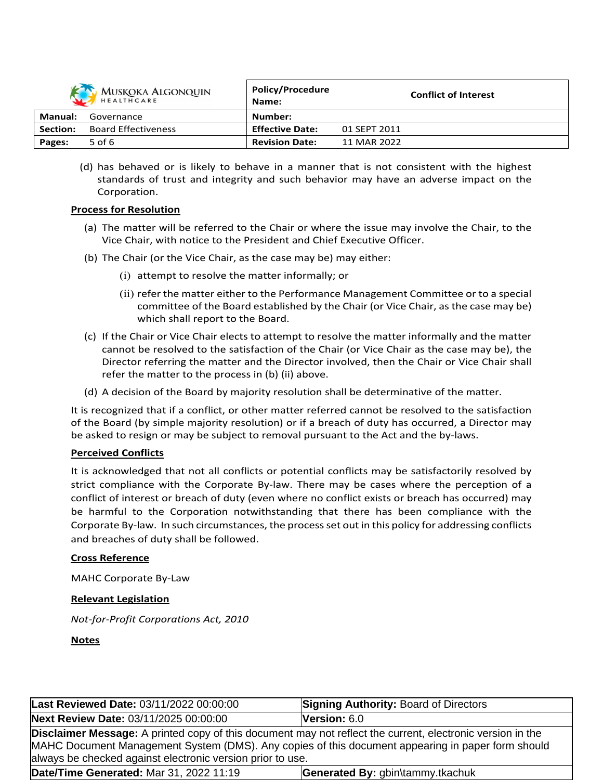

| MUSKOKA ALGONQUIN<br>HEALTHCARE |                            | <b>POIICY/Procedure</b><br>Name: | <b>Conflict of Interest</b> |
|---------------------------------|----------------------------|----------------------------------|-----------------------------|
| Manual:                         | Governance                 | Number:                          |                             |
| <b>Section:</b>                 | <b>Board Effectiveness</b> | <b>Effective Date:</b>           | 01 SEPT 2011                |
| Pages:                          | 5 of $6$                   | <b>Revision Date:</b>            | 11 MAR 2022                 |

**Policy/Procedure**

(d) has behaved or is likely to behave in a manner that is not consistent with the highest standards of trust and integrity and such behavior may have an adverse impact on the Corporation.

#### **Process for Resolution**

- (a) The matter will be referred to the Chair or where the issue may involve the Chair, to the Vice Chair, with notice to the President and Chief Executive Officer.
- (b) The Chair (or the Vice Chair, as the case may be) may either:
	- (i) attempt to resolve the matter informally; or
	- (ii) refer the matter either to the Performance Management Committee or to a special committee of the Board established by the Chair (or Vice Chair, asthe case may be) which shall report to the Board.
- (c) If the Chair or Vice Chair elects to attempt to resolve the matter informally and the matter cannot be resolved to the satisfaction of the Chair (or Vice Chair as the case may be), the Director referring the matter and the Director involved, then the Chair or Vice Chair shall refer the matter to the process in (b) (ii) above.
- (d) A decision of the Board by majority resolution shall be determinative of the matter.

It is recognized that if a conflict, or other matter referred cannot be resolved to the satisfaction of the Board (by simple majority resolution) or if a breach of duty has occurred, a Director may be asked to resign or may be subject to removal pursuant to the Act and the by-laws.

## **Perceived Conflicts**

It is acknowledged that not all conflicts or potential conflicts may be satisfactorily resolved by strict compliance with the Corporate By-law. There may be cases where the perception of a conflict of interest or breach of duty (even where no conflict exists or breach has occurred) may be harmful to the Corporation notwithstanding that there has been compliance with the Corporate By-law. In such circumstances, the processset out in this policy for addressing conflicts and breaches of duty shall be followed.

#### **Cross Reference**

MAHC Corporate By-Law

#### **Relevant Legislation**

*Not-for-Profit Corporations Act, 2010*

**Notes**

| Last Reviewed Date: 03/11/2022 00:00:00                                                                                                                                                                                                                                       | <b>Signing Authority: Board of Directors</b> |  |
|-------------------------------------------------------------------------------------------------------------------------------------------------------------------------------------------------------------------------------------------------------------------------------|----------------------------------------------|--|
| Next Review Date: 03/11/2025 00:00:00                                                                                                                                                                                                                                         | <b>Version:</b> $6.0$                        |  |
| Disclaimer Message: A printed copy of this document may not reflect the current, electronic version in the<br>MAHC Document Management System (DMS). Any copies of this document appearing in paper form should<br>always be checked against electronic version prior to use. |                                              |  |
| Date/Time Generated: Mar 31, 2022 11:19<br>Generated By: gbin\tammy.tkachuk                                                                                                                                                                                                   |                                              |  |